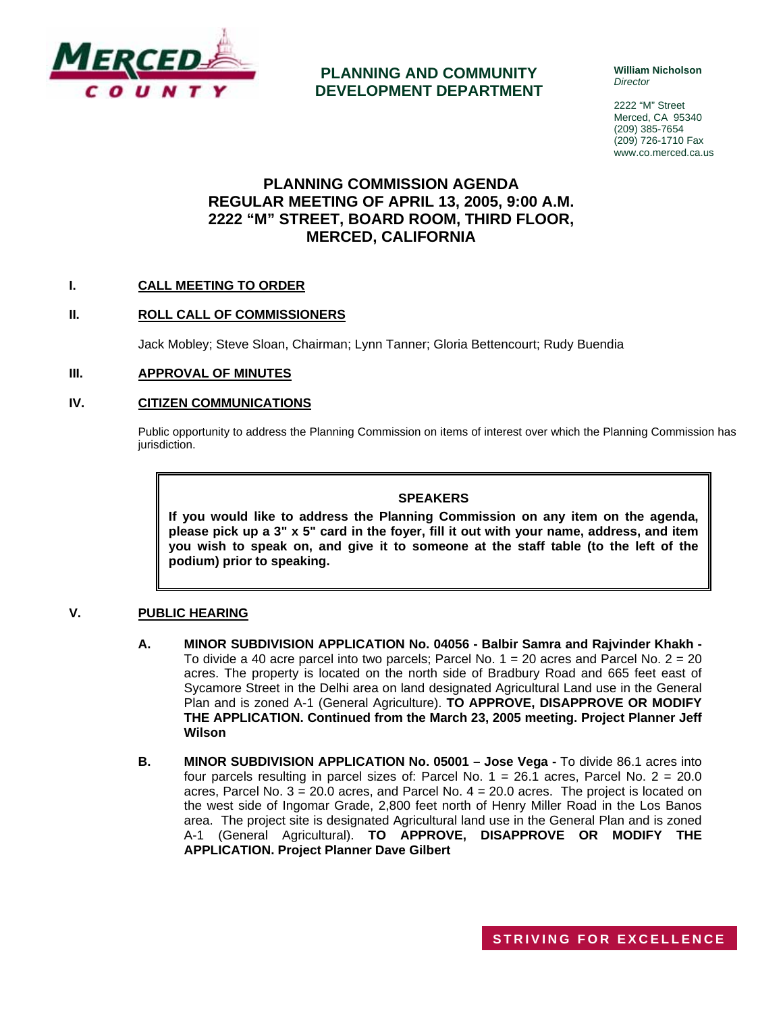

## **PLANNING AND COMMUNITY DEVELOPMENT DEPARTMENT**

**William Nicholson**  *Director* 

2222 "M" Street Merced, CA 95340 (209) 385-7654 (209) 726-1710 Fax www.co.merced.ca.us

# **PLANNING COMMISSION AGENDA REGULAR MEETING OF APRIL 13, 2005, 9:00 A.M. 2222 "M" STREET, BOARD ROOM, THIRD FLOOR, MERCED, CALIFORNIA**

## **I. CALL MEETING TO ORDER**

#### **II. ROLL CALL OF COMMISSIONERS**

Jack Mobley; Steve Sloan, Chairman; Lynn Tanner; Gloria Bettencourt; Rudy Buendia

#### **III. APPROVAL OF MINUTES**

#### **IV. CITIZEN COMMUNICATIONS**

Public opportunity to address the Planning Commission on items of interest over which the Planning Commission has jurisdiction.

#### **SPEAKERS**

**If you would like to address the Planning Commission on any item on the agenda, please pick up a 3" x 5" card in the foyer, fill it out with your name, address, and item you wish to speak on, and give it to someone at the staff table (to the left of the podium) prior to speaking.**

#### **V. PUBLIC HEARING**

- **A. MINOR SUBDIVISION APPLICATION No. 04056 Balbir Samra and Rajvinder Khakh -** To divide a 40 acre parcel into two parcels; Parcel No.  $1 = 20$  acres and Parcel No.  $2 = 20$ acres. The property is located on the north side of Bradbury Road and 665 feet east of Sycamore Street in the Delhi area on land designated Agricultural Land use in the General Plan and is zoned A-1 (General Agriculture). **TO APPROVE, DISAPPROVE OR MODIFY THE APPLICATION. Continued from the March 23, 2005 meeting. Project Planner Jeff Wilson**
- **B. MINOR SUBDIVISION APPLICATION No. 05001 Jose Vega** To divide 86.1 acres into four parcels resulting in parcel sizes of: Parcel No. 1 = 26.1 acres, Parcel No. 2 = 20.0 acres, Parcel No.  $3 = 20.0$  acres, and Parcel No.  $4 = 20.0$  acres. The project is located on the west side of Ingomar Grade, 2,800 feet north of Henry Miller Road in the Los Banos area. The project site is designated Agricultural land use in the General Plan and is zoned A-1 (General Agricultural). **TO APPROVE, DISAPPROVE OR MODIFY THE APPLICATION. Project Planner Dave Gilbert**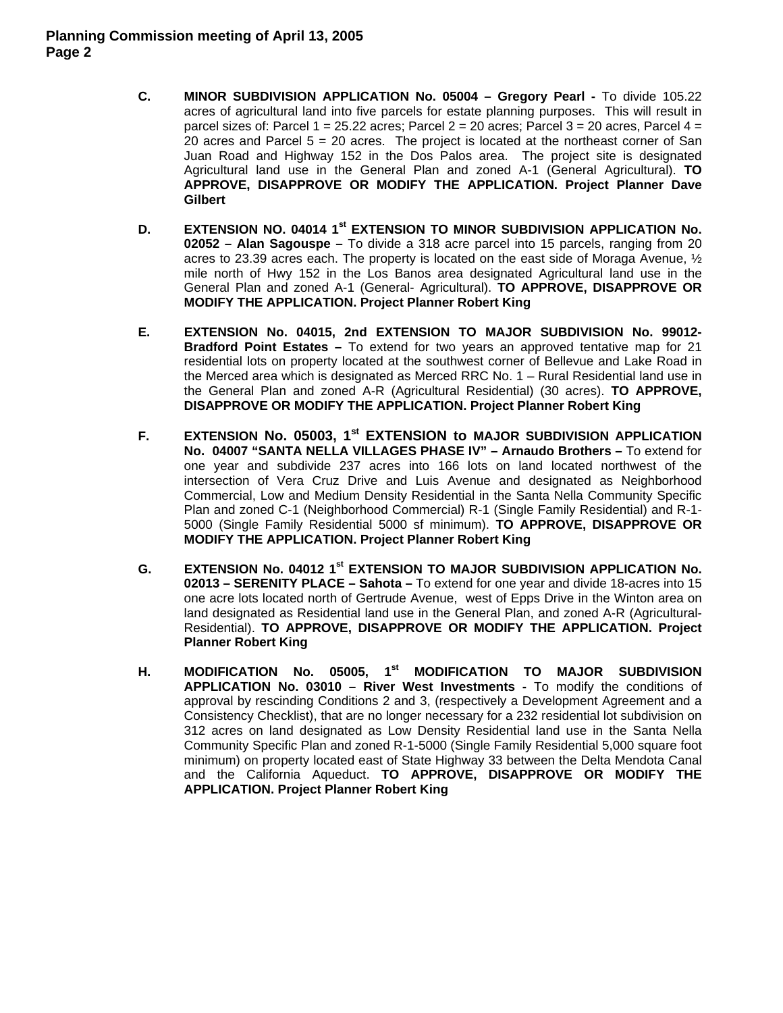- **C. MINOR SUBDIVISION APPLICATION No. 05004 Gregory Pearl** To divide 105.22 acres of agricultural land into five parcels for estate planning purposes. This will result in parcel sizes of: Parcel 1 = 25.22 acres; Parcel 2 = 20 acres; Parcel 3 = 20 acres, Parcel 4 = 20 acres and Parcel  $5 = 20$  acres. The project is located at the northeast corner of San Juan Road and Highway 152 in the Dos Palos area. The project site is designated Agricultural land use in the General Plan and zoned A-1 (General Agricultural). **TO APPROVE, DISAPPROVE OR MODIFY THE APPLICATION. Project Planner Dave Gilbert**
- **D. EXTENSION NO. 04014 1st EXTENSION TO MINOR SUBDIVISION APPLICATION No. 02052 – Alan Sagouspe –** To divide a 318 acre parcel into 15 parcels, ranging from 20 acres to 23.39 acres each. The property is located on the east side of Moraga Avenue,  $\frac{1}{2}$ mile north of Hwy 152 in the Los Banos area designated Agricultural land use in the General Plan and zoned A-1 (General- Agricultural). **TO APPROVE, DISAPPROVE OR MODIFY THE APPLICATION. Project Planner Robert King**
- **E. EXTENSION No. 04015, 2nd EXTENSION TO MAJOR SUBDIVISION No. 99012- Bradford Point Estates –** To extend for two years an approved tentative map for 21 residential lots on property located at the southwest corner of Bellevue and Lake Road in the Merced area which is designated as Merced RRC No. 1 – Rural Residential land use in the General Plan and zoned A-R (Agricultural Residential) (30 acres). **TO APPROVE, DISAPPROVE OR MODIFY THE APPLICATION. Project Planner Robert King**
- **F. EXTENSION No. 05003, 1st EXTENSION to MAJOR SUBDIVISION APPLICATION No. 04007 "SANTA NELLA VILLAGES PHASE IV" – Arnaudo Brothers –** To extend for one year and subdivide 237 acres into 166 lots on land located northwest of the intersection of Vera Cruz Drive and Luis Avenue and designated as Neighborhood Commercial, Low and Medium Density Residential in the Santa Nella Community Specific Plan and zoned C-1 (Neighborhood Commercial) R-1 (Single Family Residential) and R-1- 5000 (Single Family Residential 5000 sf minimum). **TO APPROVE, DISAPPROVE OR MODIFY THE APPLICATION. Project Planner Robert King**
- G. EXTENSION No. 04012 1<sup>st</sup> EXTENSION TO MAJOR SUBDIVISION APPLICATION No. **02013 – SERENITY PLACE – Sahota –** To extend for one year and divide 18-acres into 15 one acre lots located north of Gertrude Avenue, west of Epps Drive in the Winton area on land designated as Residential land use in the General Plan, and zoned A-R (Agricultural-Residential). **TO APPROVE, DISAPPROVE OR MODIFY THE APPLICATION. Project Planner Robert King**
- **H. MODIFICATION No. 05005, 1st MODIFICATION TO MAJOR SUBDIVISION APPLICATION No. 03010 – River West Investments -** To modify the conditions of approval by rescinding Conditions 2 and 3, (respectively a Development Agreement and a Consistency Checklist), that are no longer necessary for a 232 residential lot subdivision on 312 acres on land designated as Low Density Residential land use in the Santa Nella Community Specific Plan and zoned R-1-5000 (Single Family Residential 5,000 square foot minimum) on property located east of State Highway 33 between the Delta Mendota Canal and the California Aqueduct. **TO APPROVE, DISAPPROVE OR MODIFY THE APPLICATION. Project Planner Robert King**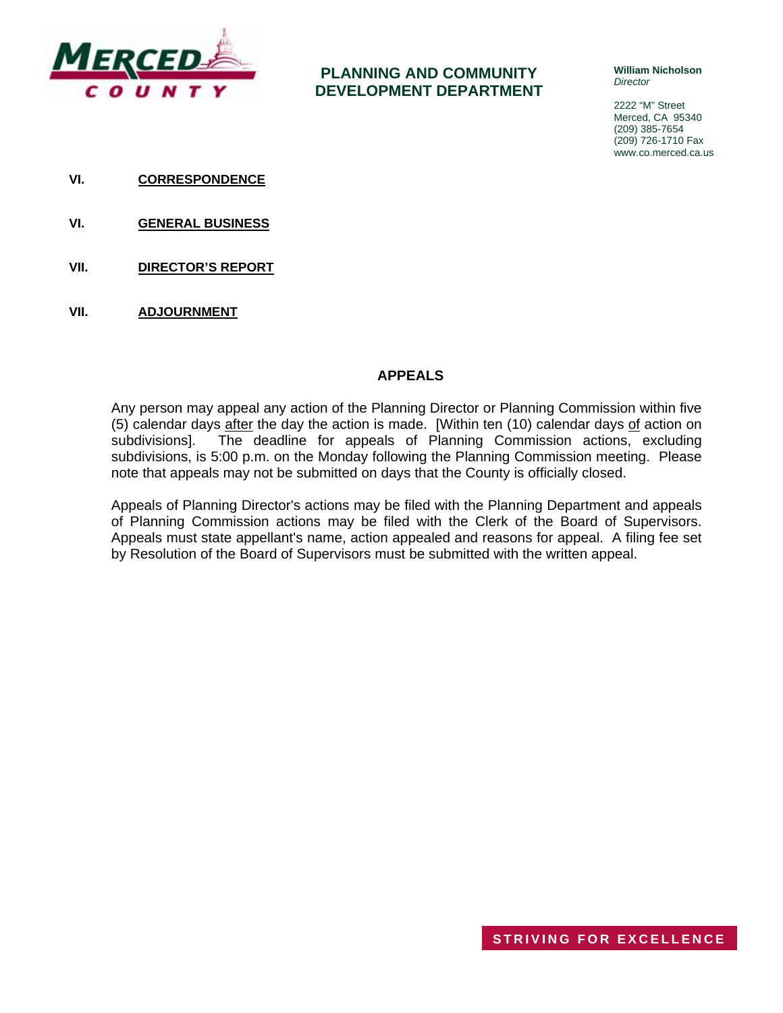

# **PLANNING AND COMMUNITY DEVELOPMENT DEPARTMENT**

**William Nicholson**  *Director* 

2222 "M" Street Merced, CA 95340 (209) 385-7654 (209) 726-1710 Fax www.co.merced.ca.us

- **VI. CORRESPONDENCE**
- **VI. GENERAL BUSINESS**
- **VII. DIRECTOR'S REPORT**
- **VII. ADJOURNMENT**

## **APPEALS**

Any person may appeal any action of the Planning Director or Planning Commission within five (5) calendar days after the day the action is made. [Within ten (10) calendar days of action on subdivisions]. The deadline for appeals of Planning Commission actions, excluding subdivisions, is 5:00 p.m. on the Monday following the Planning Commission meeting. Please note that appeals may not be submitted on days that the County is officially closed.

Appeals of Planning Director's actions may be filed with the Planning Department and appeals of Planning Commission actions may be filed with the Clerk of the Board of Supervisors. Appeals must state appellant's name, action appealed and reasons for appeal. A filing fee set by Resolution of the Board of Supervisors must be submitted with the written appeal.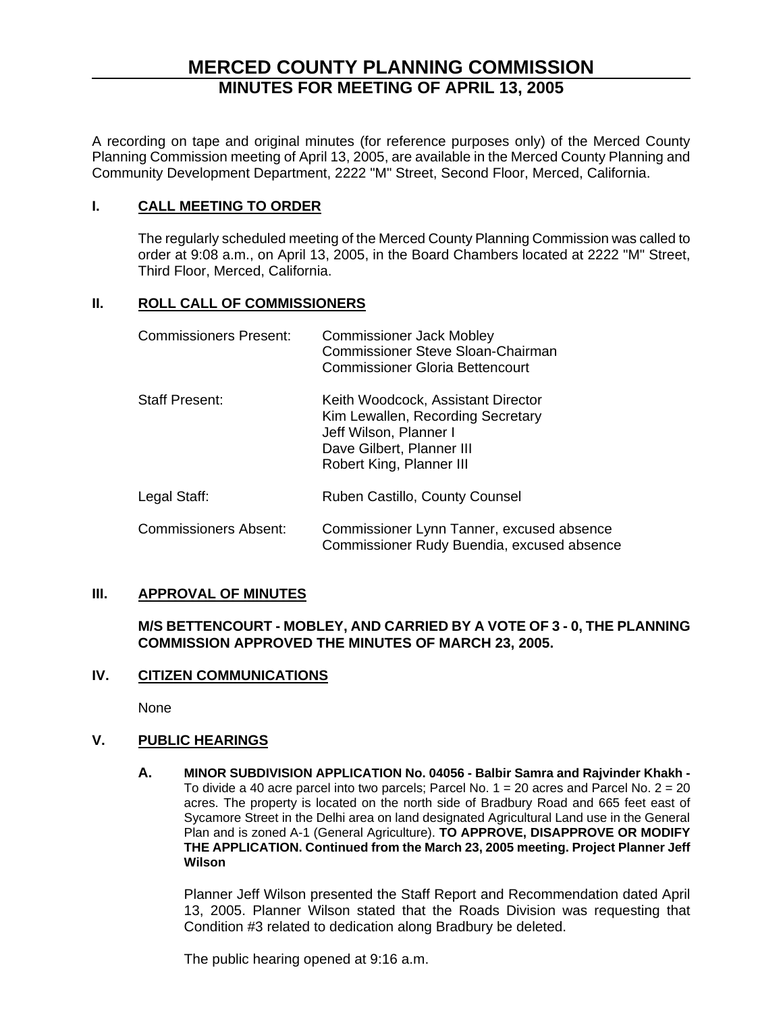# **MERCED COUNTY PLANNING COMMISSION MINUTES FOR MEETING OF APRIL 13, 2005**

A recording on tape and original minutes (for reference purposes only) of the Merced County Planning Commission meeting of April 13, 2005, are available in the Merced County Planning and Community Development Department, 2222 "M" Street, Second Floor, Merced, California.

## **I. CALL MEETING TO ORDER**

The regularly scheduled meeting of the Merced County Planning Commission was called to order at 9:08 a.m., on April 13, 2005, in the Board Chambers located at 2222 "M" Street, Third Floor, Merced, California.

## **II. ROLL CALL OF COMMISSIONERS**

| <b>Commissioners Present:</b> | <b>Commissioner Jack Mobley</b><br><b>Commissioner Steve Sloan-Chairman</b><br>Commissioner Gloria Bettencourt                                             |
|-------------------------------|------------------------------------------------------------------------------------------------------------------------------------------------------------|
| <b>Staff Present:</b>         | Keith Woodcock, Assistant Director<br>Kim Lewallen, Recording Secretary<br>Jeff Wilson, Planner I<br>Dave Gilbert, Planner III<br>Robert King, Planner III |
| Legal Staff:                  | Ruben Castillo, County Counsel                                                                                                                             |
| <b>Commissioners Absent:</b>  | Commissioner Lynn Tanner, excused absence<br>Commissioner Rudy Buendia, excused absence                                                                    |

## **III. APPROVAL OF MINUTES**

## **M/S BETTENCOURT - MOBLEY, AND CARRIED BY A VOTE OF 3 - 0, THE PLANNING COMMISSION APPROVED THE MINUTES OF MARCH 23, 2005.**

# **IV. CITIZEN COMMUNICATIONS**

None

## **V. PUBLIC HEARINGS**

**A. MINOR SUBDIVISION APPLICATION No. 04056 - Balbir Samra and Rajvinder Khakh -**  To divide a 40 acre parcel into two parcels; Parcel No.  $1 = 20$  acres and Parcel No.  $2 = 20$ acres. The property is located on the north side of Bradbury Road and 665 feet east of Sycamore Street in the Delhi area on land designated Agricultural Land use in the General Plan and is zoned A-1 (General Agriculture). **TO APPROVE, DISAPPROVE OR MODIFY THE APPLICATION. Continued from the March 23, 2005 meeting. Project Planner Jeff Wilson**

Planner Jeff Wilson presented the Staff Report and Recommendation dated April 13, 2005. Planner Wilson stated that the Roads Division was requesting that Condition #3 related to dedication along Bradbury be deleted.

The public hearing opened at 9:16 a.m.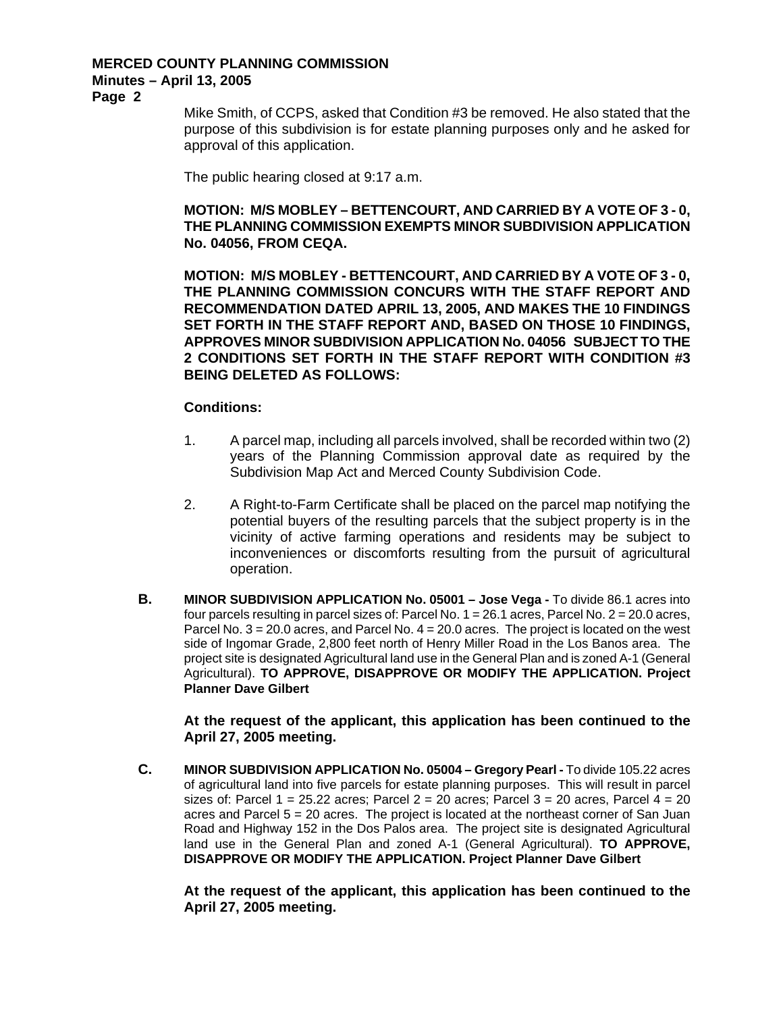## **MERCED COUNTY PLANNING COMMISSION Minutes – April 13, 2005**

**Page 2** 

Mike Smith, of CCPS, asked that Condition #3 be removed. He also stated that the purpose of this subdivision is for estate planning purposes only and he asked for approval of this application.

The public hearing closed at 9:17 a.m.

## **MOTION: M/S MOBLEY – BETTENCOURT, AND CARRIED BY A VOTE OF 3 - 0, THE PLANNING COMMISSION EXEMPTS MINOR SUBDIVISION APPLICATION No. 04056, FROM CEQA.**

**MOTION: M/S MOBLEY - BETTENCOURT, AND CARRIED BY A VOTE OF 3 - 0, THE PLANNING COMMISSION CONCURS WITH THE STAFF REPORT AND RECOMMENDATION DATED APRIL 13, 2005, AND MAKES THE 10 FINDINGS SET FORTH IN THE STAFF REPORT AND, BASED ON THOSE 10 FINDINGS, APPROVES MINOR SUBDIVISION APPLICATION No. 04056 SUBJECT TO THE 2 CONDITIONS SET FORTH IN THE STAFF REPORT WITH CONDITION #3 BEING DELETED AS FOLLOWS:** 

## **Conditions:**

- 1. A parcel map, including all parcels involved, shall be recorded within two (2) years of the Planning Commission approval date as required by the Subdivision Map Act and Merced County Subdivision Code.
- 2. A Right-to-Farm Certificate shall be placed on the parcel map notifying the potential buyers of the resulting parcels that the subject property is in the vicinity of active farming operations and residents may be subject to inconveniences or discomforts resulting from the pursuit of agricultural operation.
- **B. MINOR SUBDIVISION APPLICATION No. 05001 Jose Vega To divide 86.1 acres into** four parcels resulting in parcel sizes of: Parcel No.  $1 = 26.1$  acres, Parcel No.  $2 = 20.0$  acres, Parcel No.  $3 = 20.0$  acres, and Parcel No.  $4 = 20.0$  acres. The project is located on the west side of Ingomar Grade, 2,800 feet north of Henry Miller Road in the Los Banos area. The project site is designated Agricultural land use in the General Plan and is zoned A-1 (General Agricultural). **TO APPROVE, DISAPPROVE OR MODIFY THE APPLICATION. Project Planner Dave Gilbert**

## **At the request of the applicant, this application has been continued to the April 27, 2005 meeting.**

**C. MINOR SUBDIVISION APPLICATION No. 05004 – Gregory Pearl -** To divide 105.22 acres of agricultural land into five parcels for estate planning purposes. This will result in parcel sizes of: Parcel 1 = 25.22 acres; Parcel 2 = 20 acres; Parcel 3 = 20 acres, Parcel  $4 = 20$ acres and Parcel  $5 = 20$  acres. The project is located at the northeast corner of San Juan Road and Highway 152 in the Dos Palos area. The project site is designated Agricultural land use in the General Plan and zoned A-1 (General Agricultural). **TO APPROVE, DISAPPROVE OR MODIFY THE APPLICATION. Project Planner Dave Gilbert**

**At the request of the applicant, this application has been continued to the April 27, 2005 meeting.**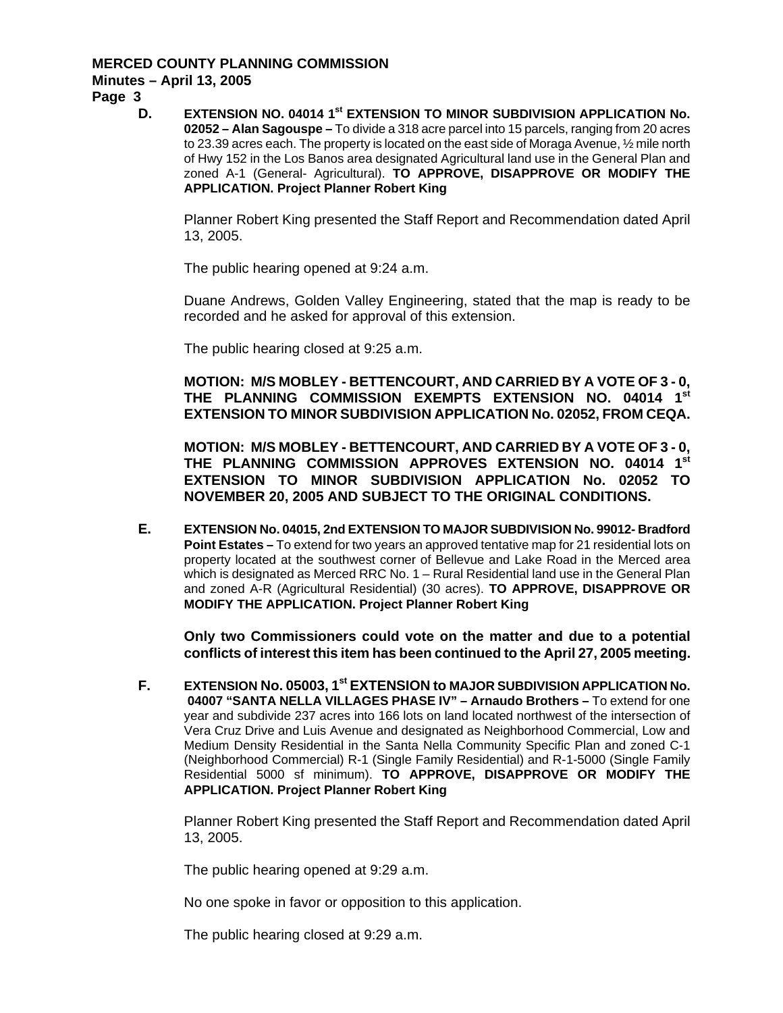# **MERCED COUNTY PLANNING COMMISSION Minutes – April 13, 2005**

**Page 3** 

**D. EXTENSION NO. 04014 1st EXTENSION TO MINOR SUBDIVISION APPLICATION No. 02052 – Alan Sagouspe –** To divide a 318 acre parcel into 15 parcels, ranging from 20 acres to 23.39 acres each. The property is located on the east side of Moraga Avenue, ½ mile north of Hwy 152 in the Los Banos area designated Agricultural land use in the General Plan and zoned A-1 (General- Agricultural). **TO APPROVE, DISAPPROVE OR MODIFY THE APPLICATION. Project Planner Robert King** 

Planner Robert King presented the Staff Report and Recommendation dated April 13, 2005.

The public hearing opened at 9:24 a.m.

Duane Andrews, Golden Valley Engineering, stated that the map is ready to be recorded and he asked for approval of this extension.

The public hearing closed at 9:25 a.m.

**MOTION: M/S MOBLEY - BETTENCOURT, AND CARRIED BY A VOTE OF 3 - 0, THE PLANNING COMMISSION EXEMPTS EXTENSION NO. 04014 1st EXTENSION TO MINOR SUBDIVISION APPLICATION No. 02052, FROM CEQA.** 

**MOTION: M/S MOBLEY - BETTENCOURT, AND CARRIED BY A VOTE OF 3 - 0, THE PLANNING COMMISSION APPROVES EXTENSION NO. 04014 1st EXTENSION TO MINOR SUBDIVISION APPLICATION No. 02052 TO NOVEMBER 20, 2005 AND SUBJECT TO THE ORIGINAL CONDITIONS.**

**E. EXTENSION No. 04015, 2nd EXTENSION TO MAJOR SUBDIVISION No. 99012- Bradford Point Estates –** To extend for two years an approved tentative map for 21 residential lots on property located at the southwest corner of Bellevue and Lake Road in the Merced area which is designated as Merced RRC No. 1 – Rural Residential land use in the General Plan and zoned A-R (Agricultural Residential) (30 acres). **TO APPROVE, DISAPPROVE OR MODIFY THE APPLICATION. Project Planner Robert King** 

**Only two Commissioners could vote on the matter and due to a potential conflicts of interest this item has been continued to the April 27, 2005 meeting.** 

**F. EXTENSION No. 05003, 1st EXTENSION to MAJOR SUBDIVISION APPLICATION No. 04007 "SANTA NELLA VILLAGES PHASE IV" – Arnaudo Brothers –** To extend for one year and subdivide 237 acres into 166 lots on land located northwest of the intersection of Vera Cruz Drive and Luis Avenue and designated as Neighborhood Commercial, Low and Medium Density Residential in the Santa Nella Community Specific Plan and zoned C-1 (Neighborhood Commercial) R-1 (Single Family Residential) and R-1-5000 (Single Family Residential 5000 sf minimum). **TO APPROVE, DISAPPROVE OR MODIFY THE APPLICATION. Project Planner Robert King** 

Planner Robert King presented the Staff Report and Recommendation dated April 13, 2005.

The public hearing opened at 9:29 a.m.

No one spoke in favor or opposition to this application.

The public hearing closed at 9:29 a.m.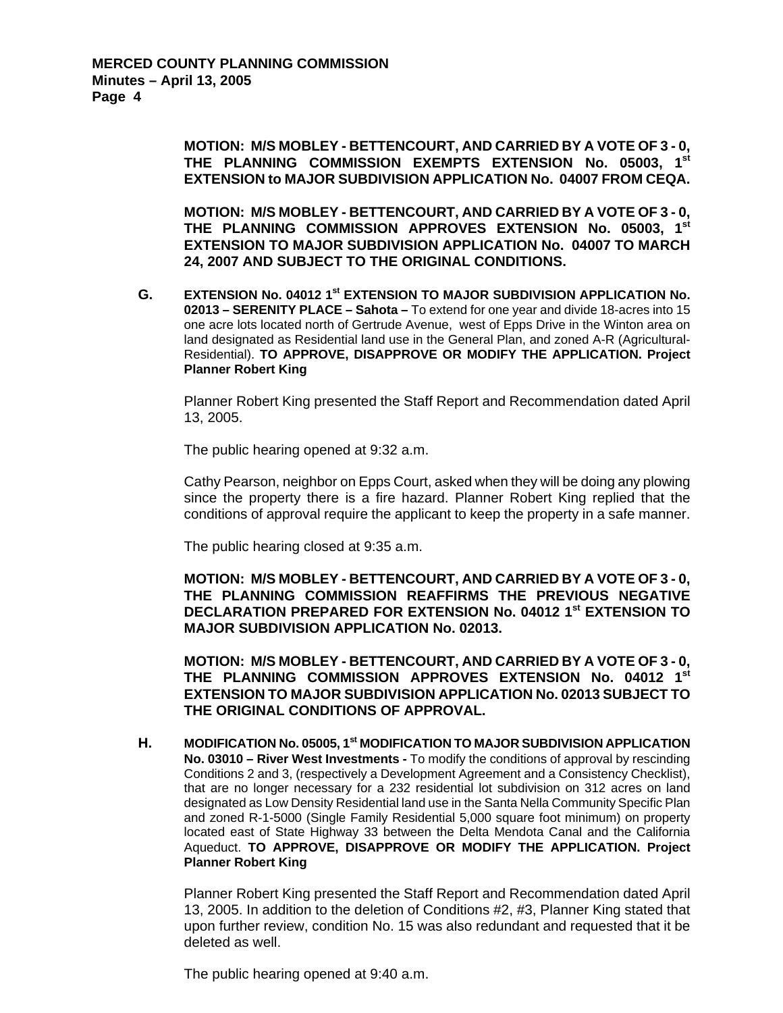**MOTION: M/S MOBLEY - BETTENCOURT, AND CARRIED BY A VOTE OF 3 - 0, THE PLANNING COMMISSION EXEMPTS EXTENSION No. 05003, 1st EXTENSION to MAJOR SUBDIVISION APPLICATION No. 04007 FROM CEQA.** 

**MOTION: M/S MOBLEY - BETTENCOURT, AND CARRIED BY A VOTE OF 3 - 0, THE PLANNING COMMISSION APPROVES EXTENSION No. 05003, 1st EXTENSION TO MAJOR SUBDIVISION APPLICATION No. 04007 TO MARCH 24, 2007 AND SUBJECT TO THE ORIGINAL CONDITIONS.**

G. EXTENSION No. 04012 1<sup>st</sup> EXTENSION TO MAJOR SUBDIVISION APPLICATION No. **02013 – SERENITY PLACE – Sahota –** To extend for one year and divide 18-acres into 15 one acre lots located north of Gertrude Avenue, west of Epps Drive in the Winton area on land designated as Residential land use in the General Plan, and zoned A-R (Agricultural-Residential). **TO APPROVE, DISAPPROVE OR MODIFY THE APPLICATION. Project Planner Robert King** 

Planner Robert King presented the Staff Report and Recommendation dated April 13, 2005.

The public hearing opened at 9:32 a.m.

Cathy Pearson, neighbor on Epps Court, asked when they will be doing any plowing since the property there is a fire hazard. Planner Robert King replied that the conditions of approval require the applicant to keep the property in a safe manner.

The public hearing closed at 9:35 a.m.

**MOTION: M/S MOBLEY - BETTENCOURT, AND CARRIED BY A VOTE OF 3 - 0, THE PLANNING COMMISSION REAFFIRMS THE PREVIOUS NEGATIVE DECLARATION PREPARED FOR EXTENSION No. 04012 1st EXTENSION TO MAJOR SUBDIVISION APPLICATION No. 02013.** 

**MOTION: M/S MOBLEY - BETTENCOURT, AND CARRIED BY A VOTE OF 3 - 0, THE PLANNING COMMISSION APPROVES EXTENSION No. 04012 1st EXTENSION TO MAJOR SUBDIVISION APPLICATION No. 02013 SUBJECT TO THE ORIGINAL CONDITIONS OF APPROVAL.** 

**H. MODIFICATION No. 05005, 1st MODIFICATION TO MAJOR SUBDIVISION APPLICATION No. 03010 – River West Investments -** To modify the conditions of approval by rescinding Conditions 2 and 3, (respectively a Development Agreement and a Consistency Checklist), that are no longer necessary for a 232 residential lot subdivision on 312 acres on land designated as Low Density Residential land use in the Santa Nella Community Specific Plan and zoned R-1-5000 (Single Family Residential 5,000 square foot minimum) on property located east of State Highway 33 between the Delta Mendota Canal and the California Aqueduct. **TO APPROVE, DISAPPROVE OR MODIFY THE APPLICATION. Project Planner Robert King**

Planner Robert King presented the Staff Report and Recommendation dated April 13, 2005. In addition to the deletion of Conditions #2, #3, Planner King stated that upon further review, condition No. 15 was also redundant and requested that it be deleted as well.

The public hearing opened at 9:40 a.m.